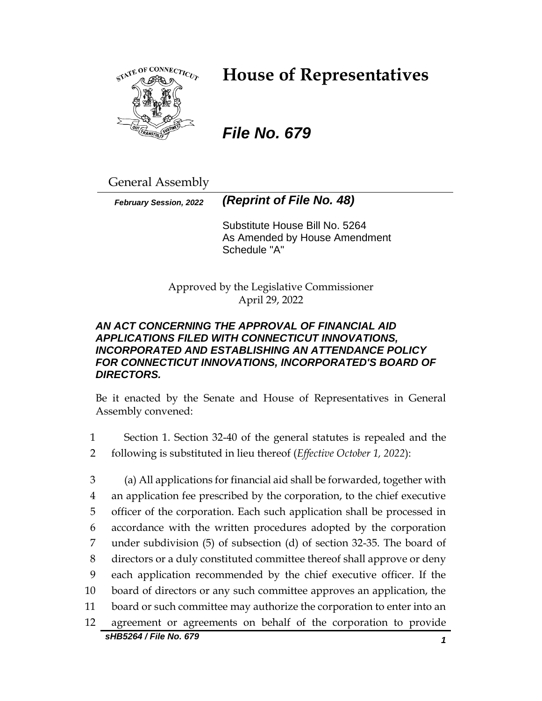

# **House of Representatives**

# *File No. 679*

General Assembly

*February Session, 2022 (Reprint of File No. 48)*

Substitute House Bill No. 5264 As Amended by House Amendment Schedule "A"

Approved by the Legislative Commissioner April 29, 2022

# *AN ACT CONCERNING THE APPROVAL OF FINANCIAL AID APPLICATIONS FILED WITH CONNECTICUT INNOVATIONS, INCORPORATED AND ESTABLISHING AN ATTENDANCE POLICY FOR CONNECTICUT INNOVATIONS, INCORPORATED'S BOARD OF DIRECTORS.*

Be it enacted by the Senate and House of Representatives in General Assembly convened:

- 1 Section 1. Section 32-40 of the general statutes is repealed and the
- 2 following is substituted in lieu thereof (*Effective October 1, 2022*):

*sHB5264 / File No. 679 1* (a) All applications for financial aid shall be forwarded, together with an application fee prescribed by the corporation, to the chief executive officer of the corporation. Each such application shall be processed in accordance with the written procedures adopted by the corporation under subdivision (5) of subsection (d) of section 32-35. The board of directors or a duly constituted committee thereof shall approve or deny each application recommended by the chief executive officer. If the board of directors or any such committee approves an application, the board or such committee may authorize the corporation to enter into an agreement or agreements on behalf of the corporation to provide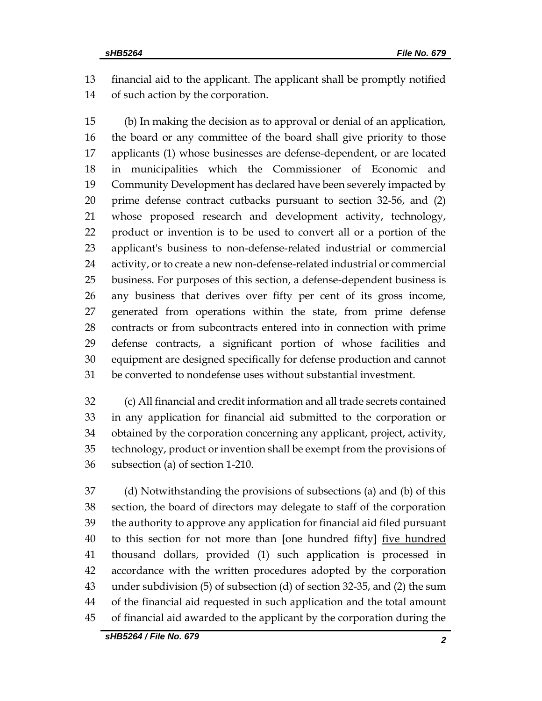financial aid to the applicant. The applicant shall be promptly notified of such action by the corporation.

 (b) In making the decision as to approval or denial of an application, the board or any committee of the board shall give priority to those applicants (1) whose businesses are defense-dependent, or are located in municipalities which the Commissioner of Economic and Community Development has declared have been severely impacted by prime defense contract cutbacks pursuant to section 32-56, and (2) whose proposed research and development activity, technology, product or invention is to be used to convert all or a portion of the applicant's business to non-defense-related industrial or commercial activity, or to create a new non-defense-related industrial or commercial business. For purposes of this section, a defense-dependent business is any business that derives over fifty per cent of its gross income, generated from operations within the state, from prime defense contracts or from subcontracts entered into in connection with prime defense contracts, a significant portion of whose facilities and equipment are designed specifically for defense production and cannot be converted to nondefense uses without substantial investment.

 (c) All financial and credit information and all trade secrets contained in any application for financial aid submitted to the corporation or obtained by the corporation concerning any applicant, project, activity, technology, product or invention shall be exempt from the provisions of subsection (a) of section 1-210.

 (d) Notwithstanding the provisions of subsections (a) and (b) of this section, the board of directors may delegate to staff of the corporation the authority to approve any application for financial aid filed pursuant to this section for not more than **[**one hundred fifty**]** five hundred thousand dollars, provided (1) such application is processed in accordance with the written procedures adopted by the corporation under subdivision (5) of subsection (d) of section 32-35, and (2) the sum of the financial aid requested in such application and the total amount of financial aid awarded to the applicant by the corporation during the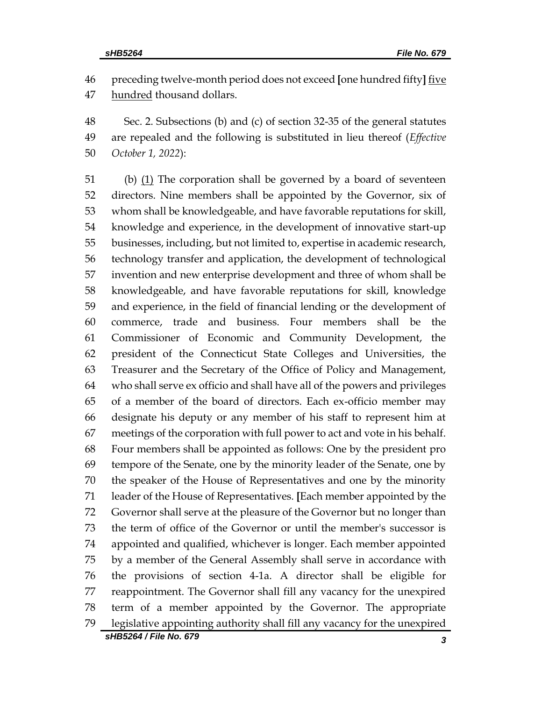preceding twelve-month period does not exceed **[**one hundred fifty**]** five 47 hundred thousand dollars.

 Sec. 2. Subsections (b) and (c) of section 32-35 of the general statutes are repealed and the following is substituted in lieu thereof (*Effective October 1, 2022*):

*sHB5264 / File No. 679 3* (b) (1) The corporation shall be governed by a board of seventeen directors. Nine members shall be appointed by the Governor, six of whom shall be knowledgeable, and have favorable reputations for skill, knowledge and experience, in the development of innovative start-up businesses, including, but not limited to, expertise in academic research, technology transfer and application, the development of technological invention and new enterprise development and three of whom shall be knowledgeable, and have favorable reputations for skill, knowledge and experience, in the field of financial lending or the development of commerce, trade and business. Four members shall be the Commissioner of Economic and Community Development, the president of the Connecticut State Colleges and Universities, the Treasurer and the Secretary of the Office of Policy and Management, who shall serve ex officio and shall have all of the powers and privileges of a member of the board of directors. Each ex-officio member may designate his deputy or any member of his staff to represent him at meetings of the corporation with full power to act and vote in his behalf. Four members shall be appointed as follows: One by the president pro tempore of the Senate, one by the minority leader of the Senate, one by the speaker of the House of Representatives and one by the minority leader of the House of Representatives. **[**Each member appointed by the Governor shall serve at the pleasure of the Governor but no longer than the term of office of the Governor or until the member's successor is appointed and qualified, whichever is longer. Each member appointed by a member of the General Assembly shall serve in accordance with the provisions of section 4-1a. A director shall be eligible for reappointment. The Governor shall fill any vacancy for the unexpired term of a member appointed by the Governor. The appropriate legislative appointing authority shall fill any vacancy for the unexpired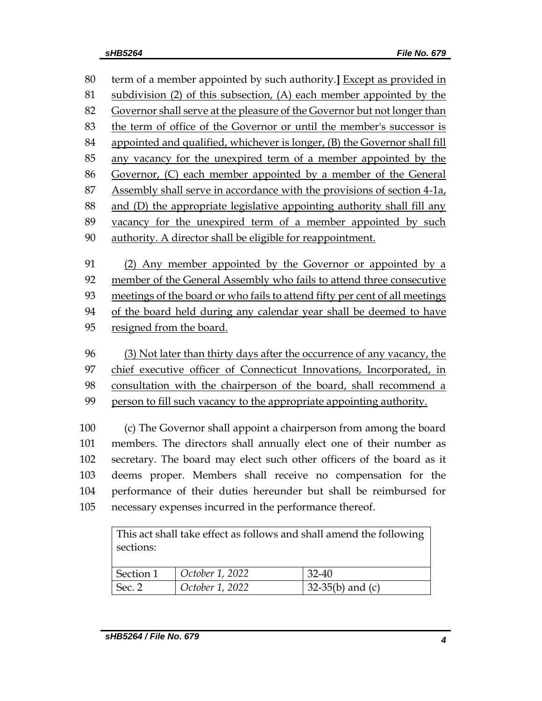term of a member appointed by such authority.**]** Except as provided in subdivision (2) of this subsection, (A) each member appointed by the Governor shall serve at the pleasure of the Governor but not longer than the term of office of the Governor or until the member's successor is appointed and qualified, whichever is longer, (B) the Governor shall fill any vacancy for the unexpired term of a member appointed by the Governor, (C) each member appointed by a member of the General 87 Assembly shall serve in accordance with the provisions of section 4-1a, and (D) the appropriate legislative appointing authority shall fill any vacancy for the unexpired term of a member appointed by such authority. A director shall be eligible for reappointment. (2) Any member appointed by the Governor or appointed by a member of the General Assembly who fails to attend three consecutive meetings of the board or who fails to attend fifty per cent of all meetings of the board held during any calendar year shall be deemed to have resigned from the board. (3) Not later than thirty days after the occurrence of any vacancy, the chief executive officer of Connecticut Innovations, Incorporated, in consultation with the chairperson of the board, shall recommend a person to fill such vacancy to the appropriate appointing authority.

 (c) The Governor shall appoint a chairperson from among the board members. The directors shall annually elect one of their number as secretary. The board may elect such other officers of the board as it deems proper. Members shall receive no compensation for the performance of their duties hereunder but shall be reimbursed for necessary expenses incurred in the performance thereof.

| This act shall take effect as follows and shall amend the following |                 |                          |
|---------------------------------------------------------------------|-----------------|--------------------------|
| sections:                                                           |                 |                          |
|                                                                     |                 |                          |
| Section 1                                                           | October 1, 2022 | $32-40$                  |
| Sec. 2                                                              | October 1, 2022 | $\vert$ 32-35(b) and (c) |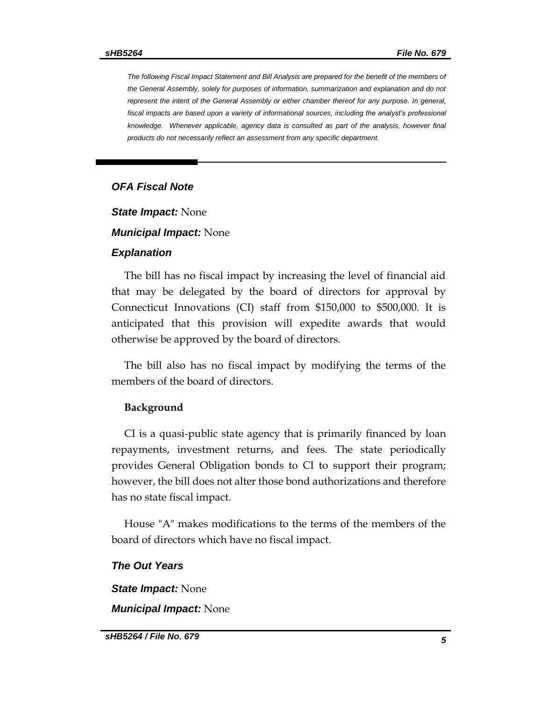*The following Fiscal Impact Statement and Bill Analysis are prepared for the benefit of the members of the General Assembly, solely for purposes of information, summarization and explanation and do not represent the intent of the General Assembly or either chamber thereof for any purpose. In general, fiscal impacts are based upon a variety of informational sources, including the analyst's professional knowledge. Whenever applicable, agency data is consulted as part of the analysis, however final products do not necessarily reflect an assessment from any specific department.*

## *OFA Fiscal Note*

*State Impact:* None

#### *Municipal Impact:* None

#### *Explanation*

The bill has no fiscal impact by increasing the level of financial aid that may be delegated by the board of directors for approval by Connecticut Innovations (CI) staff from \$150,000 to \$500,000. It is anticipated that this provision will expedite awards that would otherwise be approved by the board of directors.

The bill also has no fiscal impact by modifying the terms of the members of the board of directors.

#### **Background**

CI is a quasi-public state agency that is primarily financed by loan repayments, investment returns, and fees. The state periodically provides General Obligation bonds to CI to support their program; however, the bill does not alter those bond authorizations and therefore has no state fiscal impact.

House "A" makes modifications to the terms of the members of the board of directors which have no fiscal impact.

### *The Out Years*

*State Impact:* None

*Municipal Impact:* None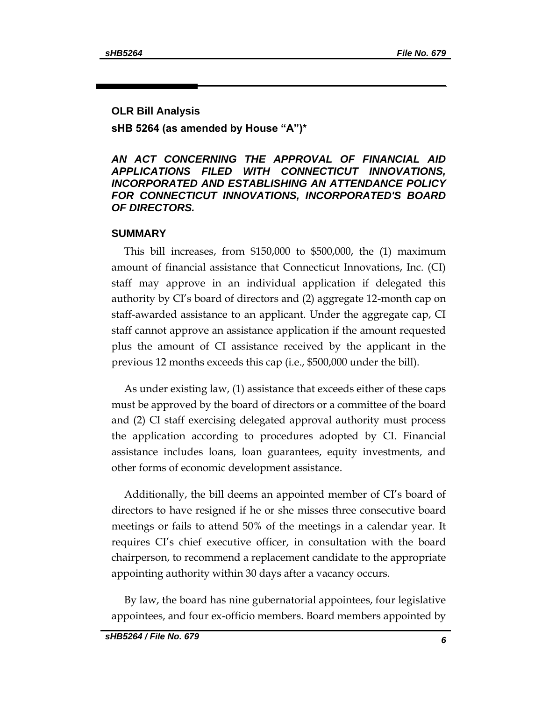## **OLR Bill Analysis**

**sHB 5264 (as amended by House "A")\***

# *AN ACT CONCERNING THE APPROVAL OF FINANCIAL AID APPLICATIONS FILED WITH CONNECTICUT INNOVATIONS, INCORPORATED AND ESTABLISHING AN ATTENDANCE POLICY FOR CONNECTICUT INNOVATIONS, INCORPORATED'S BOARD OF DIRECTORS.*

# **SUMMARY**

This bill increases, from \$150,000 to \$500,000, the (1) maximum amount of financial assistance that Connecticut Innovations, Inc. (CI) staff may approve in an individual application if delegated this authority by CI's board of directors and (2) aggregate 12-month cap on staff-awarded assistance to an applicant. Under the aggregate cap, CI staff cannot approve an assistance application if the amount requested plus the amount of CI assistance received by the applicant in the previous 12 months exceeds this cap (i.e., \$500,000 under the bill).

As under existing law, (1) assistance that exceeds either of these caps must be approved by the board of directors or a committee of the board and (2) CI staff exercising delegated approval authority must process the application according to procedures adopted by CI. Financial assistance includes loans, loan guarantees, equity investments, and other forms of economic development assistance.

Additionally, the bill deems an appointed member of CI's board of directors to have resigned if he or she misses three consecutive board meetings or fails to attend 50% of the meetings in a calendar year. It requires CI's chief executive officer, in consultation with the board chairperson, to recommend a replacement candidate to the appropriate appointing authority within 30 days after a vacancy occurs.

By law, the board has nine gubernatorial appointees, four legislative appointees, and four ex-officio members. Board members appointed by